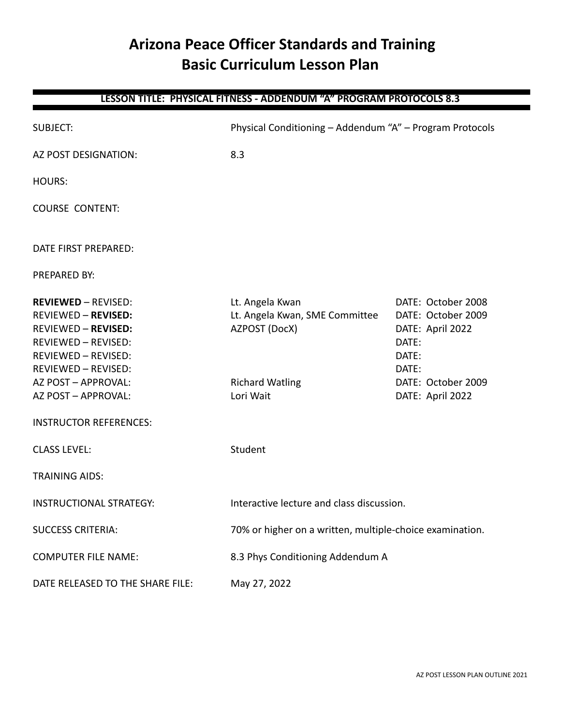# **Arizona Peace Officer Standards and Training Basic Curriculum Lesson Plan**

# **LESSON TITLE: PHYSICAL FITNESS - ADDENDUM "A" PROGRAM PROTOCOLS 8.3**

| <b>SUBJECT:</b>                                                                                                                                                                                                                                                 | Physical Conditioning - Addendum "A" - Program Protocols                                                  |                                                                                                                                   |
|-----------------------------------------------------------------------------------------------------------------------------------------------------------------------------------------------------------------------------------------------------------------|-----------------------------------------------------------------------------------------------------------|-----------------------------------------------------------------------------------------------------------------------------------|
| AZ POST DESIGNATION:                                                                                                                                                                                                                                            | 8.3                                                                                                       |                                                                                                                                   |
| <b>HOURS:</b>                                                                                                                                                                                                                                                   |                                                                                                           |                                                                                                                                   |
| <b>COURSE CONTENT:</b>                                                                                                                                                                                                                                          |                                                                                                           |                                                                                                                                   |
| DATE FIRST PREPARED:                                                                                                                                                                                                                                            |                                                                                                           |                                                                                                                                   |
| <b>PREPARED BY:</b>                                                                                                                                                                                                                                             |                                                                                                           |                                                                                                                                   |
| <b>REVIEWED - REVISED:</b><br><b>REVIEWED - REVISED:</b><br><b>REVIEWED - REVISED:</b><br><b>REVIEWED - REVISED:</b><br><b>REVIEWED - REVISED:</b><br><b>REVIEWED - REVISED:</b><br>AZ POST - APPROVAL:<br>AZ POST - APPROVAL:<br><b>INSTRUCTOR REFERENCES:</b> | Lt. Angela Kwan<br>Lt. Angela Kwan, SME Committee<br>AZPOST (DocX)<br><b>Richard Watling</b><br>Lori Wait | DATE: October 2008<br>DATE: October 2009<br>DATE: April 2022<br>DATE:<br>DATE:<br>DATE:<br>DATE: October 2009<br>DATE: April 2022 |
| <b>CLASS LEVEL:</b>                                                                                                                                                                                                                                             | Student                                                                                                   |                                                                                                                                   |
| <b>TRAINING AIDS:</b>                                                                                                                                                                                                                                           |                                                                                                           |                                                                                                                                   |
| <b>INSTRUCTIONAL STRATEGY:</b>                                                                                                                                                                                                                                  | Interactive lecture and class discussion.                                                                 |                                                                                                                                   |
| <b>SUCCESS CRITERIA:</b>                                                                                                                                                                                                                                        | 70% or higher on a written, multiple-choice examination.                                                  |                                                                                                                                   |
| <b>COMPUTER FILE NAME:</b>                                                                                                                                                                                                                                      | 8.3 Phys Conditioning Addendum A                                                                          |                                                                                                                                   |
| DATE RELEASED TO THE SHARE FILE:                                                                                                                                                                                                                                | May 27, 2022                                                                                              |                                                                                                                                   |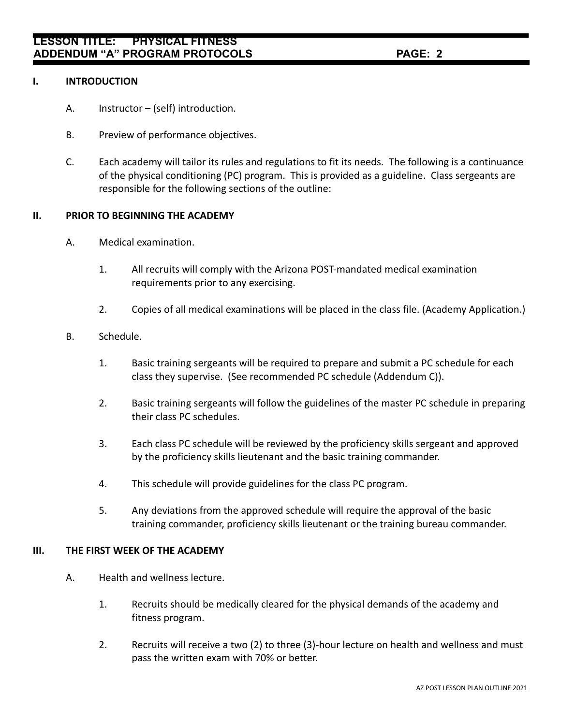#### **I. INTRODUCTION**

- A. Instructor (self) introduction.
- B. Preview of performance objectives.
- C. Each academy will tailor its rules and regulations to fit its needs. The following is a continuance of the physical conditioning (PC) program. This is provided as a guideline. Class sergeants are responsible for the following sections of the outline:

### **II. PRIOR TO BEGINNING THE ACADEMY**

- A. Medical examination.
	- 1. All recruits will comply with the Arizona POST-mandated medical examination requirements prior to any exercising.
	- 2. Copies of all medical examinations will be placed in the class file. (Academy Application.)

### B. Schedule.

- 1. Basic training sergeants will be required to prepare and submit a PC schedule for each class they supervise. (See recommended PC schedule (Addendum C)).
- 2. Basic training sergeants will follow the guidelines of the master PC schedule in preparing their class PC schedules.
- 3. Each class PC schedule will be reviewed by the proficiency skills sergeant and approved by the proficiency skills lieutenant and the basic training commander.
- 4. This schedule will provide guidelines for the class PC program.
- 5. Any deviations from the approved schedule will require the approval of the basic training commander, proficiency skills lieutenant or the training bureau commander.

#### **III. THE FIRST WEEK OF THE ACADEMY**

- A. Health and wellness lecture.
	- 1. Recruits should be medically cleared for the physical demands of the academy and fitness program.
	- 2. Recruits will receive a two (2) to three (3)-hour lecture on health and wellness and must pass the written exam with 70% or better.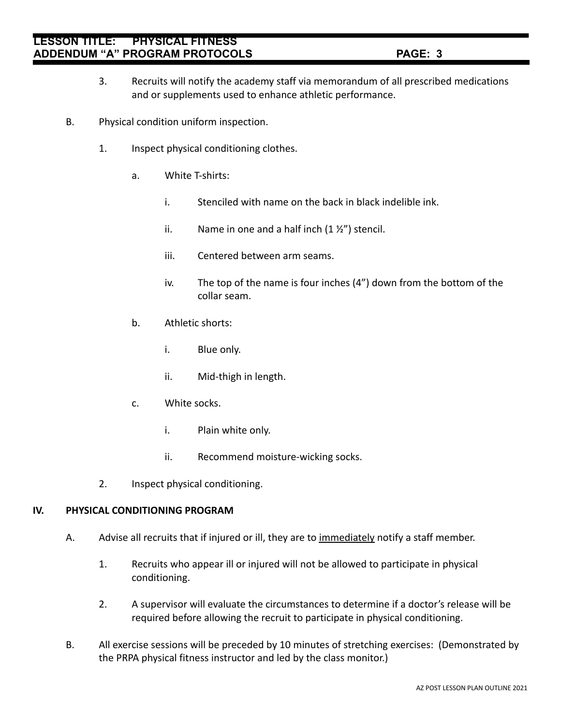## **LESSON TITLE: PHYSICAL FITNESS ADDENDUM "A" PROGRAM PROTOCOLS PAGE: 3**

- 3. Recruits will notify the academy staff via memorandum of all prescribed medications and or supplements used to enhance athletic performance.
- B. Physical condition uniform inspection.
	- 1. Inspect physical conditioning clothes.
		- a. White T-shirts:
			- i. Stenciled with name on the back in black indelible ink.
			- ii. Name in one and a half inch  $(1 *Y*<sub>2</sub>*'*)$  stencil.
			- iii. Centered between arm seams.
			- iv. The top of the name is four inches (4") down from the bottom of the collar seam.
		- b. Athletic shorts:
			- i. Blue only.
			- ii. Mid-thigh in length.
		- c. White socks.
			- i. Plain white only.
			- ii. Recommend moisture-wicking socks.
	- 2. Inspect physical conditioning.

#### **IV. PHYSICAL CONDITIONING PROGRAM**

- A. Advise all recruits that if injured or ill, they are to immediately notify a staff member.
	- 1. Recruits who appear ill or injured will not be allowed to participate in physical conditioning.
	- 2. A supervisor will evaluate the circumstances to determine if a doctor's release will be required before allowing the recruit to participate in physical conditioning.
- B. All exercise sessions will be preceded by 10 minutes of stretching exercises: (Demonstrated by the PRPA physical fitness instructor and led by the class monitor.)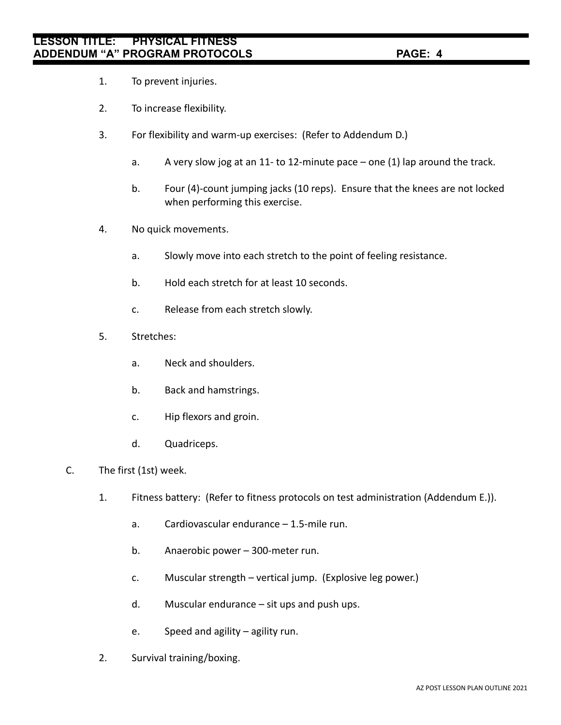- 1. To prevent injuries.
- 2. To increase flexibility.
- 3. For flexibility and warm-up exercises: (Refer to Addendum D.)
	- a. A very slow jog at an 11- to 12-minute pace one (1) lap around the track.
	- b. Four (4)-count jumping jacks (10 reps). Ensure that the knees are not locked when performing this exercise.
- 4. No quick movements.
	- a. Slowly move into each stretch to the point of feeling resistance.
	- b. Hold each stretch for at least 10 seconds.
	- c. Release from each stretch slowly.
- 5. Stretches:
	- a. Neck and shoulders.
	- b. Back and hamstrings.
	- c. Hip flexors and groin.
	- d. Quadriceps.
- C. The first (1st) week.
	- 1. Fitness battery: (Refer to fitness protocols on test administration (Addendum E.)).
		- a. Cardiovascular endurance 1.5-mile run.
		- b. Anaerobic power 300-meter run.
		- c. Muscular strength vertical jump. (Explosive leg power.)
		- d. Muscular endurance sit ups and push ups.
		- e. Speed and agility agility run.
	- 2. Survival training/boxing.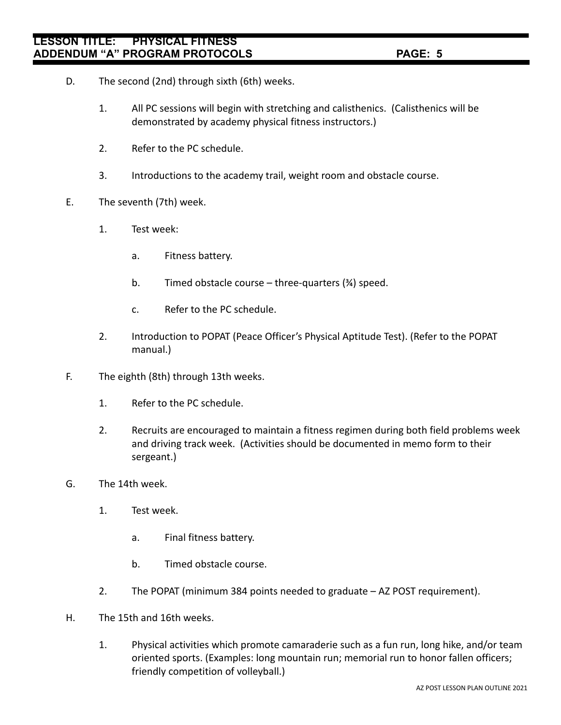- D. The second (2nd) through sixth (6th) weeks.
	- 1. All PC sessions will begin with stretching and calisthenics. (Calisthenics will be demonstrated by academy physical fitness instructors.)
	- 2. Refer to the PC schedule.
	- 3. Introductions to the academy trail, weight room and obstacle course.
- E. The seventh (7th) week.
	- 1. Test week:
		- a. Fitness battery.
		- b. Timed obstacle course three-quarters  $(34)$  speed.
		- c. Refer to the PC schedule.
	- 2. Introduction to POPAT (Peace Officer's Physical Aptitude Test). (Refer to the POPAT manual.)
- F. The eighth (8th) through 13th weeks.
	- 1. Refer to the PC schedule.
	- 2. Recruits are encouraged to maintain a fitness regimen during both field problems week and driving track week. (Activities should be documented in memo form to their sergeant.)
- G. The 14th week.
	- 1. Test week.
		- a. Final fitness battery.
		- b. Timed obstacle course.
	- 2. The POPAT (minimum 384 points needed to graduate AZ POST requirement).
- H. The 15th and 16th weeks.
	- 1. Physical activities which promote camaraderie such as a fun run, long hike, and/or team oriented sports. (Examples: long mountain run; memorial run to honor fallen officers; friendly competition of volleyball.)